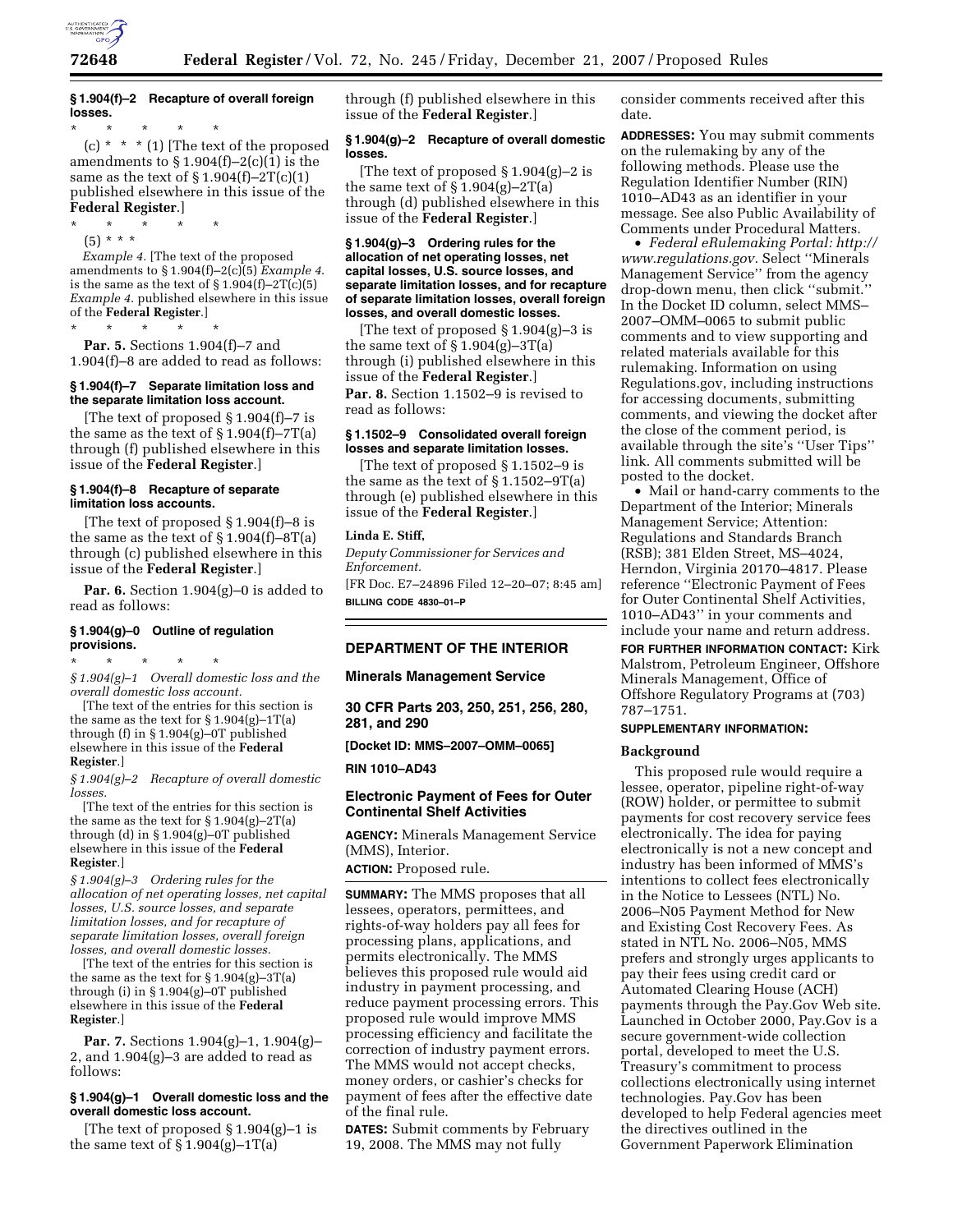

# **§ 1.904(f)–2 Recapture of overall foreign losses.**

\* \* \* \* \* (c)  $*$   $*$   $*$  (1) [The text of the proposed amendments to  $\S 1.904(f)-2(c)(1)$  is the same as the text of  $\S 1.904(f) - 2T(c)(1)$ published elsewhere in this issue of the **Federal Register**.]

\* \* \* \* \*

(5) \* \* \* *Example 4.* [The text of the proposed amendments to § 1.904(f)–2(c)(5) *Example 4*. is the same as the text of  $\S 1.904(f) - 2T(c)(5)$ *Example 4*. published elsewhere in this issue of the **Federal Register**.]

\* \* \* \* \*

**Par. 5.** Sections 1.904(f)–7 and 1.904(f)–8 are added to read as follows:

# **§ 1.904(f)–7 Separate limitation loss and the separate limitation loss account.**

[The text of proposed § 1.904(f)–7 is the same as the text of  $\S 1.904(f) - 7T(a)$ through (f) published elsewhere in this issue of the **Federal Register**.]

#### **§ 1.904(f)–8 Recapture of separate limitation loss accounts.**

[The text of proposed § 1.904(f)–8 is the same as the text of  $\S 1.904(f) - 8T(a)$ through (c) published elsewhere in this issue of the **Federal Register**.]

**Par. 6.** Section 1.904(g)–0 is added to read as follows:

# **§ 1.904(g)–0 Outline of regulation provisions.**

\* \* \* \* \*

*§ 1.904(g)–1 Overall domestic loss and the overall domestic loss account.* 

[The text of the entries for this section is the same as the text for  $\S 1.904(g) - 1T(a)$ through (f) in § 1.904(g)–0T published elsewhere in this issue of the **Federal Register**.]

*§ 1.904(g)–2 Recapture of overall domestic* 

*losses.*  [The text of the entries for this section is the same as the text for  $\S 1.904(g) - 2T(a)$ through (d) in § 1.904(g)–0T published elsewhere in this issue of the **Federal Register**.]

*§ 1.904(g)–3 Ordering rules for the allocation of net operating losses, net capital losses, U.S. source losses, and separate limitation losses, and for recapture of separate limitation losses, overall foreign losses, and overall domestic losses.* 

[The text of the entries for this section is the same as the text for  $\S 1.904(g) - 3T(a)$ through (i) in § 1.904(g)–0T published elsewhere in this issue of the **Federal Register**.]

**Par. 7.** Sections 1.904(g)–1, 1.904(g)– 2, and 1.904(g)–3 are added to read as follows:

## **§ 1.904(g)–1 Overall domestic loss and the overall domestic loss account.**

The text of proposed  $\S 1.904(g) - 1$  is the same text of  $\S 1.904(g)-1T(a)$ 

through (f) published elsewhere in this issue of the **Federal Register**.]

# **§ 1.904(g)–2 Recapture of overall domestic losses.**

[The text of proposed § 1.904(g)–2 is the same text of  $\S 1.904(g)-2T(a)$ through (d) published elsewhere in this issue of the **Federal Register**.]

### **§ 1.904(g)–3 Ordering rules for the allocation of net operating losses, net capital losses, U.S. source losses, and separate limitation losses, and for recapture of separate limitation losses, overall foreign losses, and overall domestic losses.**

[The text of proposed § 1.904(g)–3 is the same text of  $\S 1.904(g) - 3T(a)$ through (i) published elsewhere in this issue of the **Federal Register**.]

Par. 8. Section 1.1502-9 is revised to read as follows:

## **§ 1.1502–9 Consolidated overall foreign losses and separate limitation losses.**

[The text of proposed § 1.1502–9 is the same as the text of § 1.1502–9T(a) through (e) published elsewhere in this issue of the **Federal Register**.]

# **Linda E. Stiff,**

*Deputy Commissioner for Services and Enforcement.* 

[FR Doc. E7–24896 Filed 12–20–07; 8:45 am] **BILLING CODE 4830–01–P** 

# **DEPARTMENT OF THE INTERIOR**

# **Minerals Management Service**

**30 CFR Parts 203, 250, 251, 256, 280, 281, and 290** 

**[Docket ID: MMS–2007–OMM–0065]** 

**RIN 1010–AD43** 

# **Electronic Payment of Fees for Outer Continental Shelf Activities**

**AGENCY:** Minerals Management Service (MMS), Interior.

**ACTION:** Proposed rule.

**SUMMARY:** The MMS proposes that all lessees, operators, permittees, and rights-of-way holders pay all fees for processing plans, applications, and permits electronically. The MMS believes this proposed rule would aid industry in payment processing, and reduce payment processing errors. This proposed rule would improve MMS processing efficiency and facilitate the correction of industry payment errors. The MMS would not accept checks, money orders, or cashier's checks for payment of fees after the effective date of the final rule.

**DATES:** Submit comments by February 19, 2008. The MMS may not fully

consider comments received after this date.

**ADDRESSES:** You may submit comments on the rulemaking by any of the following methods. Please use the Regulation Identifier Number (RIN) 1010–AD43 as an identifier in your message. See also Public Availability of Comments under Procedural Matters.

• *Federal eRulemaking Portal: http:// www.regulations.gov.* Select ''Minerals Management Service'' from the agency drop-down menu, then click ''submit.'' In the Docket ID column, select MMS– 2007–OMM–0065 to submit public comments and to view supporting and related materials available for this rulemaking. Information on using Regulations.gov, including instructions for accessing documents, submitting comments, and viewing the docket after the close of the comment period, is available through the site's ''User Tips'' link. All comments submitted will be posted to the docket.

• Mail or hand-carry comments to the Department of the Interior; Minerals Management Service; Attention: Regulations and Standards Branch (RSB); 381 Elden Street, MS–4024, Herndon, Virginia 20170–4817. Please reference ''Electronic Payment of Fees for Outer Continental Shelf Activities, 1010–AD43'' in your comments and include your name and return address.

**FOR FURTHER INFORMATION CONTACT:** Kirk Malstrom, Petroleum Engineer, Offshore Minerals Management, Office of Offshore Regulatory Programs at (703) 787–1751.

## **SUPPLEMENTARY INFORMATION:**

## **Background**

This proposed rule would require a lessee, operator, pipeline right-of-way (ROW) holder, or permittee to submit payments for cost recovery service fees electronically. The idea for paying electronically is not a new concept and industry has been informed of MMS's intentions to collect fees electronically in the Notice to Lessees (NTL) No. 2006–N05 Payment Method for New and Existing Cost Recovery Fees. As stated in NTL No. 2006–N05, MMS prefers and strongly urges applicants to pay their fees using credit card or Automated Clearing House (ACH) payments through the Pay.Gov Web site. Launched in October 2000, Pay.Gov is a secure government-wide collection portal, developed to meet the U.S. Treasury's commitment to process collections electronically using internet technologies. Pay.Gov has been developed to help Federal agencies meet the directives outlined in the Government Paperwork Elimination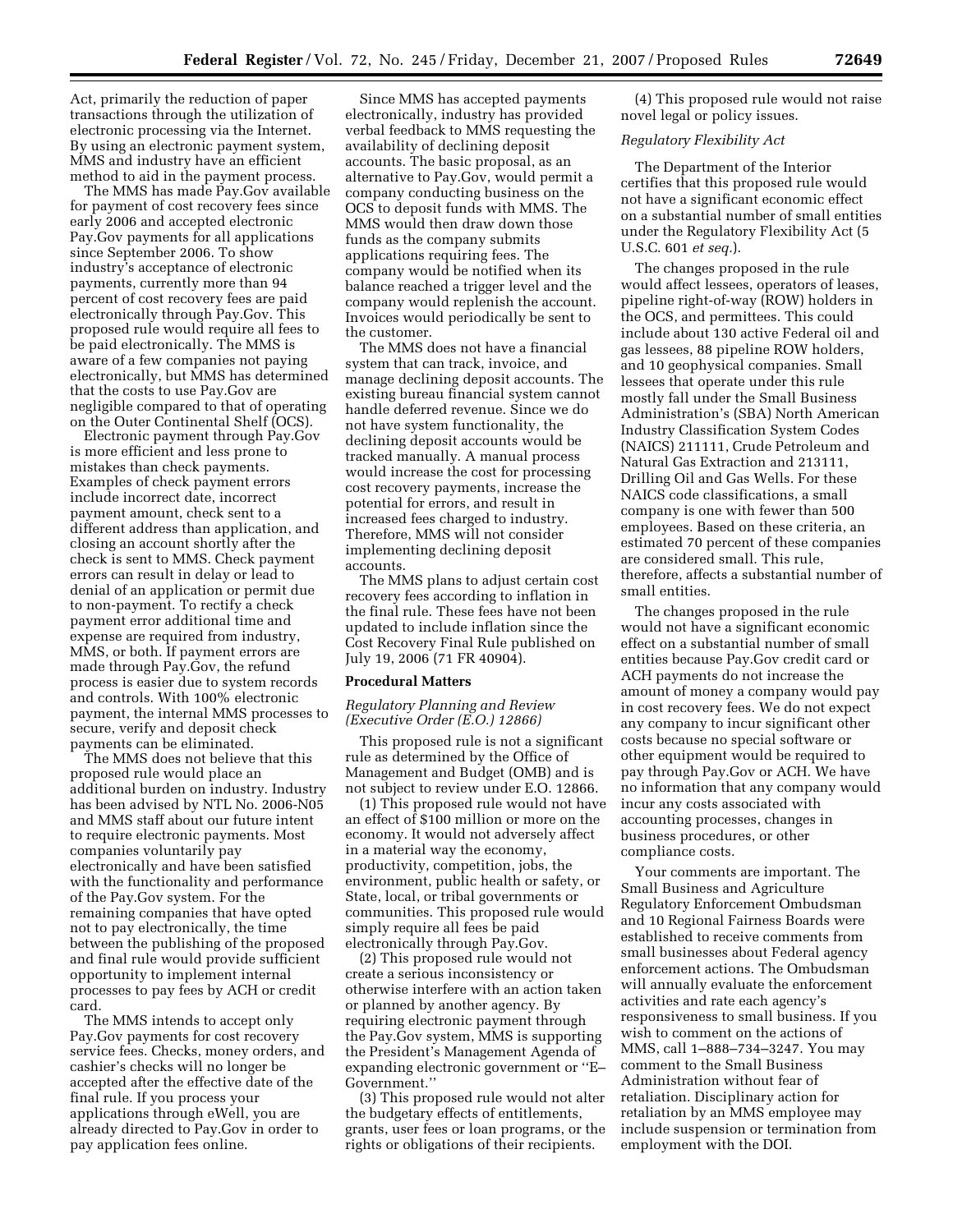Act, primarily the reduction of paper transactions through the utilization of electronic processing via the Internet. By using an electronic payment system, MMS and industry have an efficient method to aid in the payment process.

The MMS has made Pay.Gov available for payment of cost recovery fees since early 2006 and accepted electronic Pay.Gov payments for all applications since September 2006. To show industry's acceptance of electronic payments, currently more than 94 percent of cost recovery fees are paid electronically through Pay.Gov. This proposed rule would require all fees to be paid electronically. The MMS is aware of a few companies not paying electronically, but MMS has determined that the costs to use Pay.Gov are negligible compared to that of operating on the Outer Continental Shelf (OCS).

Electronic payment through Pay.Gov is more efficient and less prone to mistakes than check payments. Examples of check payment errors include incorrect date, incorrect payment amount, check sent to a different address than application, and closing an account shortly after the check is sent to MMS. Check payment errors can result in delay or lead to denial of an application or permit due to non-payment. To rectify a check payment error additional time and expense are required from industry, MMS, or both. If payment errors are made through Pay.Gov, the refund process is easier due to system records and controls. With 100% electronic payment, the internal MMS processes to secure, verify and deposit check payments can be eliminated.

The MMS does not believe that this proposed rule would place an additional burden on industry. Industry has been advised by NTL No. 2006-N05 and MMS staff about our future intent to require electronic payments. Most companies voluntarily pay electronically and have been satisfied with the functionality and performance of the Pay.Gov system. For the remaining companies that have opted not to pay electronically, the time between the publishing of the proposed and final rule would provide sufficient opportunity to implement internal processes to pay fees by ACH or credit card.

The MMS intends to accept only Pay.Gov payments for cost recovery service fees. Checks, money orders, and cashier's checks will no longer be accepted after the effective date of the final rule. If you process your applications through eWell, you are already directed to Pay.Gov in order to pay application fees online.

Since MMS has accepted payments electronically, industry has provided verbal feedback to MMS requesting the availability of declining deposit accounts. The basic proposal, as an alternative to Pay.Gov, would permit a company conducting business on the OCS to deposit funds with MMS. The MMS would then draw down those funds as the company submits applications requiring fees. The company would be notified when its balance reached a trigger level and the company would replenish the account. Invoices would periodically be sent to the customer.

The MMS does not have a financial system that can track, invoice, and manage declining deposit accounts. The existing bureau financial system cannot handle deferred revenue. Since we do not have system functionality, the declining deposit accounts would be tracked manually. A manual process would increase the cost for processing cost recovery payments, increase the potential for errors, and result in increased fees charged to industry. Therefore, MMS will not consider implementing declining deposit accounts.

The MMS plans to adjust certain cost recovery fees according to inflation in the final rule. These fees have not been updated to include inflation since the Cost Recovery Final Rule published on July 19, 2006 (71 FR 40904).

## **Procedural Matters**

## *Regulatory Planning and Review (Executive Order (E.O.) 12866)*

This proposed rule is not a significant rule as determined by the Office of Management and Budget (OMB) and is not subject to review under E.O. 12866.

(1) This proposed rule would not have an effect of \$100 million or more on the economy. It would not adversely affect in a material way the economy, productivity, competition, jobs, the environment, public health or safety, or State, local, or tribal governments or communities. This proposed rule would simply require all fees be paid electronically through Pay.Gov.

(2) This proposed rule would not create a serious inconsistency or otherwise interfere with an action taken or planned by another agency. By requiring electronic payment through the Pay.Gov system, MMS is supporting the President's Management Agenda of expanding electronic government or ''E– Government.''

(3) This proposed rule would not alter the budgetary effects of entitlements, grants, user fees or loan programs, or the rights or obligations of their recipients.

(4) This proposed rule would not raise novel legal or policy issues.

### *Regulatory Flexibility Act*

The Department of the Interior certifies that this proposed rule would not have a significant economic effect on a substantial number of small entities under the Regulatory Flexibility Act (5 U.S.C. 601 *et seq.*).

The changes proposed in the rule would affect lessees, operators of leases, pipeline right-of-way (ROW) holders in the OCS, and permittees. This could include about 130 active Federal oil and gas lessees, 88 pipeline ROW holders, and 10 geophysical companies. Small lessees that operate under this rule mostly fall under the Small Business Administration's (SBA) North American Industry Classification System Codes (NAICS) 211111, Crude Petroleum and Natural Gas Extraction and 213111, Drilling Oil and Gas Wells. For these NAICS code classifications, a small company is one with fewer than 500 employees. Based on these criteria, an estimated 70 percent of these companies are considered small. This rule, therefore, affects a substantial number of small entities.

The changes proposed in the rule would not have a significant economic effect on a substantial number of small entities because Pay.Gov credit card or ACH payments do not increase the amount of money a company would pay in cost recovery fees. We do not expect any company to incur significant other costs because no special software or other equipment would be required to pay through Pay.Gov or ACH. We have no information that any company would incur any costs associated with accounting processes, changes in business procedures, or other compliance costs.

Your comments are important. The Small Business and Agriculture Regulatory Enforcement Ombudsman and 10 Regional Fairness Boards were established to receive comments from small businesses about Federal agency enforcement actions. The Ombudsman will annually evaluate the enforcement activities and rate each agency's responsiveness to small business. If you wish to comment on the actions of MMS, call 1–888–734–3247. You may comment to the Small Business Administration without fear of retaliation. Disciplinary action for retaliation by an MMS employee may include suspension or termination from employment with the DOI.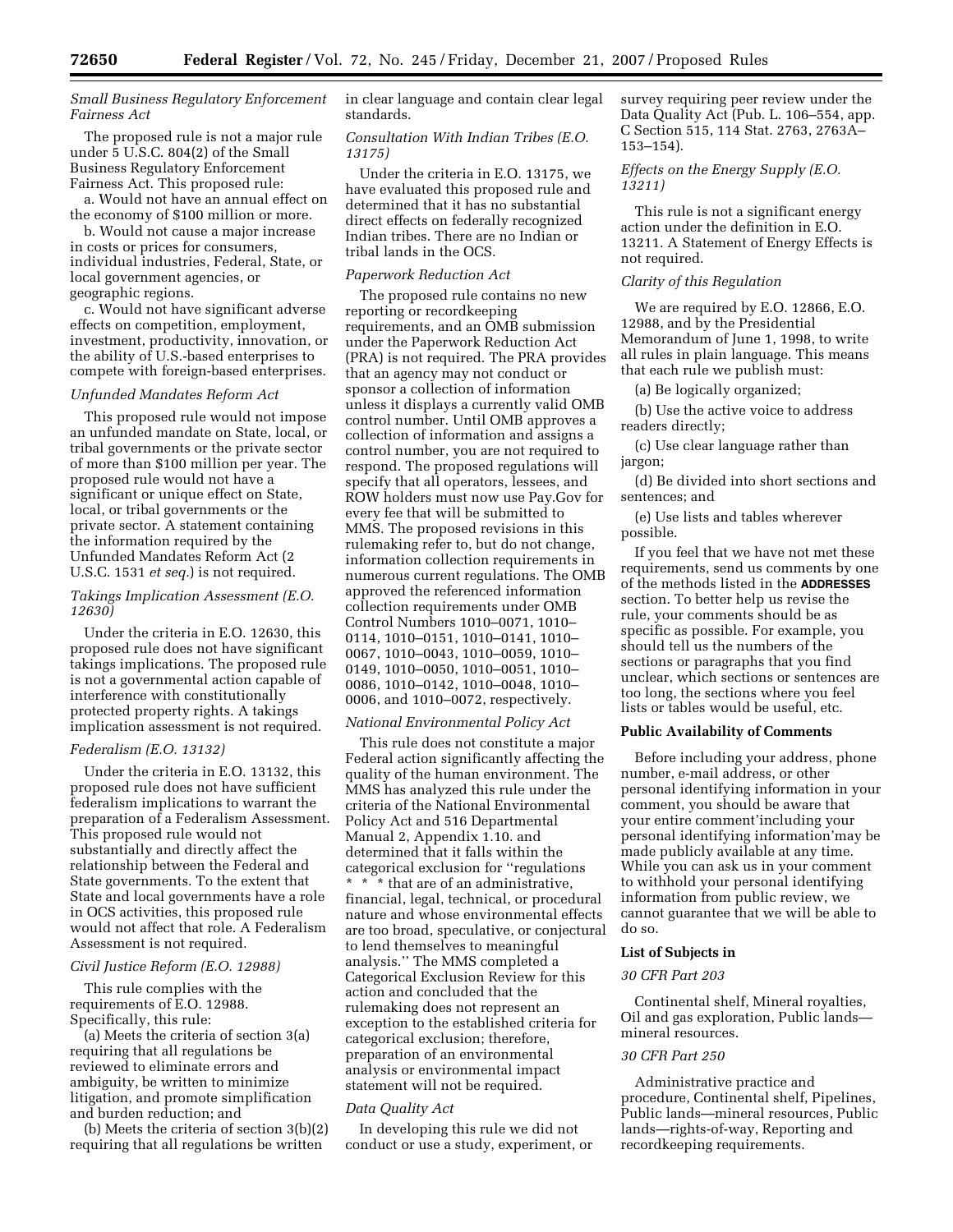# *Small Business Regulatory Enforcement Fairness Act*

The proposed rule is not a major rule under 5 U.S.C. 804(2) of the Small Business Regulatory Enforcement Fairness Act. This proposed rule:

a. Would not have an annual effect on the economy of \$100 million or more.

b. Would not cause a major increase in costs or prices for consumers, individual industries, Federal, State, or local government agencies, or geographic regions.

c. Would not have significant adverse effects on competition, employment, investment, productivity, innovation, or the ability of U.S.-based enterprises to compete with foreign-based enterprises.

# *Unfunded Mandates Reform Act*

This proposed rule would not impose an unfunded mandate on State, local, or tribal governments or the private sector of more than \$100 million per year. The proposed rule would not have a significant or unique effect on State, local, or tribal governments or the private sector. A statement containing the information required by the Unfunded Mandates Reform Act (2 U.S.C. 1531 *et seq.*) is not required.

# *Takings Implication Assessment (E.O. 12630)*

Under the criteria in E.O. 12630, this proposed rule does not have significant takings implications. The proposed rule is not a governmental action capable of interference with constitutionally protected property rights. A takings implication assessment is not required.

# *Federalism (E.O. 13132)*

Under the criteria in E.O. 13132, this proposed rule does not have sufficient federalism implications to warrant the preparation of a Federalism Assessment. This proposed rule would not substantially and directly affect the relationship between the Federal and State governments. To the extent that State and local governments have a role in OCS activities, this proposed rule would not affect that role. A Federalism Assessment is not required.

#### *Civil Justice Reform (E.O. 12988)*

This rule complies with the requirements of E.O. 12988. Specifically, this rule:

(a) Meets the criteria of section 3(a) requiring that all regulations be reviewed to eliminate errors and ambiguity, be written to minimize litigation, and promote simplification and burden reduction; and

(b) Meets the criteria of section 3(b)(2) requiring that all regulations be written

in clear language and contain clear legal standards.

# *Consultation With Indian Tribes (E.O. 13175)*

Under the criteria in E.O. 13175, we have evaluated this proposed rule and determined that it has no substantial direct effects on federally recognized Indian tribes. There are no Indian or tribal lands in the OCS.

## *Paperwork Reduction Act*

The proposed rule contains no new reporting or recordkeeping requirements, and an OMB submission under the Paperwork Reduction Act (PRA) is not required. The PRA provides that an agency may not conduct or sponsor a collection of information unless it displays a currently valid OMB control number. Until OMB approves a collection of information and assigns a control number, you are not required to respond. The proposed regulations will specify that all operators, lessees, and ROW holders must now use Pay.Gov for every fee that will be submitted to MMS. The proposed revisions in this rulemaking refer to, but do not change, information collection requirements in numerous current regulations. The OMB approved the referenced information collection requirements under OMB Control Numbers 1010–0071, 1010– 0114, 1010–0151, 1010–0141, 1010– 0067, 1010–0043, 1010–0059, 1010– 0149, 1010–0050, 1010–0051, 1010– 0086, 1010–0142, 1010–0048, 1010– 0006, and 1010–0072, respectively.

#### *National Environmental Policy Act*

This rule does not constitute a major Federal action significantly affecting the quality of the human environment. The MMS has analyzed this rule under the criteria of the National Environmental Policy Act and 516 Departmental Manual 2, Appendix 1.10. and determined that it falls within the categorical exclusion for ''regulations \* \* \* that are of an administrative, financial, legal, technical, or procedural nature and whose environmental effects are too broad, speculative, or conjectural to lend themselves to meaningful analysis.'' The MMS completed a Categorical Exclusion Review for this action and concluded that the rulemaking does not represent an exception to the established criteria for categorical exclusion; therefore, preparation of an environmental analysis or environmental impact statement will not be required.

## *Data Quality Act*

In developing this rule we did not conduct or use a study, experiment, or survey requiring peer review under the Data Quality Act (Pub. L. 106–554, app. C Section 515, 114 Stat. 2763, 2763A– 153–154).

# *Effects on the Energy Supply (E.O. 13211)*

This rule is not a significant energy action under the definition in E.O. 13211. A Statement of Energy Effects is not required.

## *Clarity of this Regulation*

We are required by E.O. 12866, E.O. 12988, and by the Presidential Memorandum of June 1, 1998, to write all rules in plain language. This means that each rule we publish must:

(a) Be logically organized;

(b) Use the active voice to address readers directly;

(c) Use clear language rather than jargon;

(d) Be divided into short sections and sentences; and

(e) Use lists and tables wherever possible.

If you feel that we have not met these requirements, send us comments by one of the methods listed in the **ADDRESSES** section. To better help us revise the rule, your comments should be as specific as possible. For example, you should tell us the numbers of the sections or paragraphs that you find unclear, which sections or sentences are too long, the sections where you feel lists or tables would be useful, etc.

# **Public Availability of Comments**

Before including your address, phone number, e-mail address, or other personal identifying information in your comment, you should be aware that your entire comment'including your personal identifying information'may be made publicly available at any time. While you can ask us in your comment to withhold your personal identifying information from public review, we cannot guarantee that we will be able to do so.

## **List of Subjects in**

#### *30 CFR Part 203*

Continental shelf, Mineral royalties, Oil and gas exploration, Public lands mineral resources.

#### *30 CFR Part 250*

Administrative practice and procedure, Continental shelf, Pipelines, Public lands—mineral resources, Public lands—rights-of-way, Reporting and recordkeeping requirements.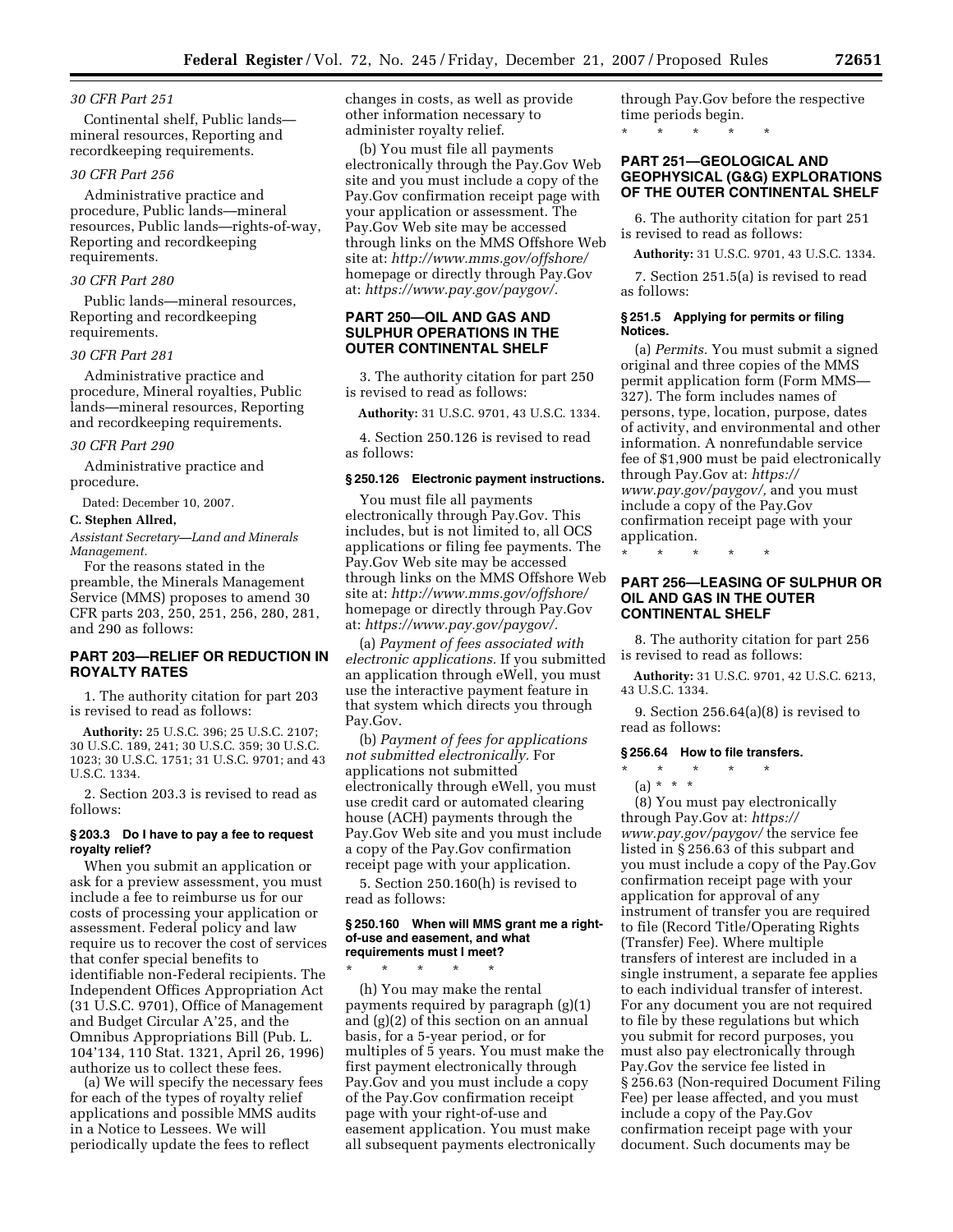### *30 CFR Part 251*

Continental shelf, Public lands mineral resources, Reporting and recordkeeping requirements.

#### *30 CFR Part 256*

Administrative practice and procedure, Public lands—mineral resources, Public lands—rights-of-way, Reporting and recordkeeping requirements.

## *30 CFR Part 280*

Public lands—mineral resources, Reporting and recordkeeping requirements.

# *30 CFR Part 281*

Administrative practice and procedure, Mineral royalties, Public lands—mineral resources, Reporting and recordkeeping requirements.

#### *30 CFR Part 290*

Administrative practice and procedure.

Dated: December 10, 2007.

### **C. Stephen Allred,**

*Assistant Secretary—Land and Minerals Management.* 

For the reasons stated in the preamble, the Minerals Management Service (MMS) proposes to amend 30 CFR parts 203, 250, 251, 256, 280, 281, and 290 as follows:

# **PART 203—RELIEF OR REDUCTION IN ROYALTY RATES**

1. The authority citation for part 203 is revised to read as follows:

**Authority:** 25 U.S.C. 396; 25 U.S.C. 2107; 30 U.S.C. 189, 241; 30 U.S.C. 359; 30 U.S.C. 1023; 30 U.S.C. 1751; 31 U.S.C. 9701; and 43 U.S.C. 1334.

2. Section 203.3 is revised to read as follows:

# **§ 203.3 Do I have to pay a fee to request royalty relief?**

When you submit an application or ask for a preview assessment, you must include a fee to reimburse us for our costs of processing your application or assessment. Federal policy and law require us to recover the cost of services that confer special benefits to identifiable non-Federal recipients. The Independent Offices Appropriation Act (31 U.S.C. 9701), Office of Management and Budget Circular A'25, and the Omnibus Appropriations Bill (Pub. L. 104'134, 110 Stat. 1321, April 26, 1996) authorize us to collect these fees.

(a) We will specify the necessary fees for each of the types of royalty relief applications and possible MMS audits in a Notice to Lessees. We will periodically update the fees to reflect

changes in costs, as well as provide other information necessary to administer royalty relief.

(b) You must file all payments electronically through the Pay.Gov Web site and you must include a copy of the Pay.Gov confirmation receipt page with your application or assessment. The Pay.Gov Web site may be accessed through links on the MMS Offshore Web site at: *http://www.mms.gov/offshore/*  homepage or directly through Pay.Gov at: *https://www.pay.gov/paygov/.* 

# **PART 250—OIL AND GAS AND SULPHUR OPERATIONS IN THE OUTER CONTINENTAL SHELF**

3. The authority citation for part 250 is revised to read as follows:

**Authority:** 31 U.S.C. 9701, 43 U.S.C. 1334.

4. Section 250.126 is revised to read as follows:

#### **§ 250.126 Electronic payment instructions.**

You must file all payments electronically through Pay.Gov. This includes, but is not limited to, all OCS applications or filing fee payments. The Pay.Gov Web site may be accessed through links on the MMS Offshore Web site at: *http://www.mms.gov/offshore/*  homepage or directly through Pay.Gov at: *https://www.pay.gov/paygov/.* 

(a) *Payment of fees associated with electronic applications.* If you submitted an application through eWell, you must use the interactive payment feature in that system which directs you through Pay.Gov.

(b) *Payment of fees for applications not submitted electronically.* For applications not submitted electronically through eWell, you must use credit card or automated clearing house (ACH) payments through the Pay.Gov Web site and you must include a copy of the Pay.Gov confirmation receipt page with your application.

5. Section 250.160(h) is revised to read as follows:

#### **§ 250.160 When will MMS grant me a rightof-use and easement, and what requirements must I meet?**

\* \* \* \* \* (h) You may make the rental payments required by paragraph (g)(1) and (g)(2) of this section on an annual basis, for a 5-year period, or for multiples of 5 years. You must make the first payment electronically through Pay.Gov and you must include a copy of the Pay.Gov confirmation receipt page with your right-of-use and easement application. You must make all subsequent payments electronically

through Pay.Gov before the respective time periods begin.

\* \* \* \* \*

# **PART 251—GEOLOGICAL AND GEOPHYSICAL (G&G) EXPLORATIONS OF THE OUTER CONTINENTAL SHELF**

6. The authority citation for part 251 is revised to read as follows:

**Authority:** 31 U.S.C. 9701, 43 U.S.C. 1334.

7. Section 251.5(a) is revised to read as follows:

### **§ 251.5 Applying for permits or filing Notices.**

(a) *Permits.* You must submit a signed original and three copies of the MMS permit application form (Form MMS— 327). The form includes names of persons, type, location, purpose, dates of activity, and environmental and other information. A nonrefundable service fee of \$1,900 must be paid electronically through Pay.Gov at: *https:// www.pay.gov/paygov/,* and you must include a copy of the Pay.Gov confirmation receipt page with your application.

**PART 256—LEASING OF SULPHUR OR OIL AND GAS IN THE OUTER CONTINENTAL SHELF** 

8. The authority citation for part 256 is revised to read as follows:

**Authority:** 31 U.S.C. 9701, 42 U.S.C. 6213, 43 U.S.C. 1334.

9. Section 256.64(a)(8) is revised to read as follows:

# **§ 256.64 How to file transfers.**

\* \* \* \* \*

\* \* \* \* \* (a) \* \* \*

(8) You must pay electronically through Pay.Gov at: *https:// www.pay.gov/paygov/* the service fee listed in § 256.63 of this subpart and you must include a copy of the Pay.Gov confirmation receipt page with your application for approval of any instrument of transfer you are required to file (Record Title/Operating Rights (Transfer) Fee). Where multiple transfers of interest are included in a single instrument, a separate fee applies to each individual transfer of interest. For any document you are not required to file by these regulations but which you submit for record purposes, you must also pay electronically through Pay.Gov the service fee listed in § 256.63 (Non-required Document Filing Fee) per lease affected, and you must include a copy of the Pay.Gov confirmation receipt page with your document. Such documents may be